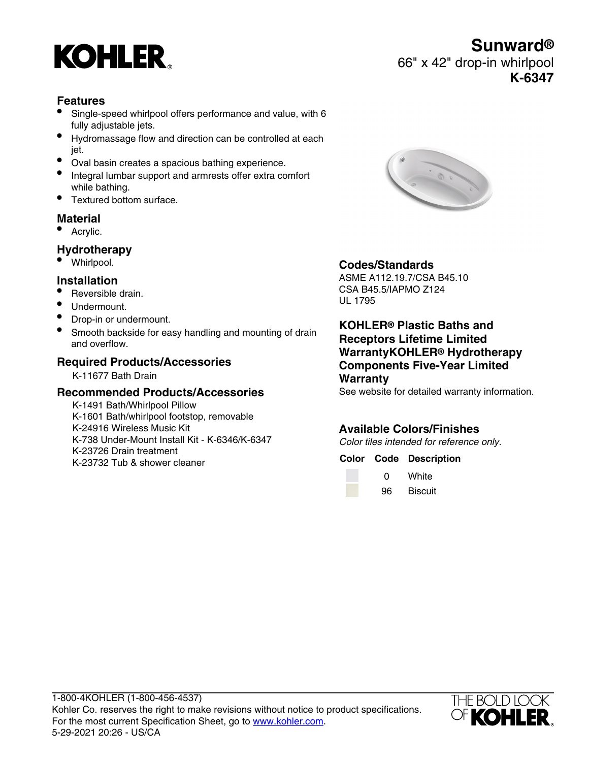

### **Features**

- Single-speed whirlpool offers performance and value, with 6 fully adjustable jets.
- Hydromassage flow and direction can be controlled at each jet.
- Oval basin creates a spacious bathing experience.
- Integral lumbar support and armrests offer extra comfort while bathing.
- Textured bottom surface.

## **Material**

• Acrylic.

## **Hydrotherapy**

• Whirlpool.

#### **Installation**

- Reversible drain.
- Undermount.
- Drop-in or undermount.
- Smooth backside for easy handling and mounting of drain and overflow.

#### **Required Products/Accessories**

K-11677 Bath Drain

#### **Recommended Products/Accessories**

K-1491 Bath/Whirlpool Pillow K-1601 Bath/whirlpool footstop, removable K-24916 Wireless Music Kit K-738 Under-Mount Install Kit - K-6346/K-6347 K-23726 Drain treatment K-23732 Tub & shower cleaner



## **Codes/Standards**

ASME A112.19.7/CSA B45.10 CSA B45.5/IAPMO Z124 UL 1795

**KOHLER® Plastic Baths and Receptors Lifetime Limited WarrantyKOHLER® Hydrotherapy Components Five-Year Limited Warranty**

See website for detailed warranty information.

#### **Available Colors/Finishes**

Color tiles intended for reference only.

#### **Color Code Description**

| O  | White          |
|----|----------------|
| 96 | <b>Biscuit</b> |